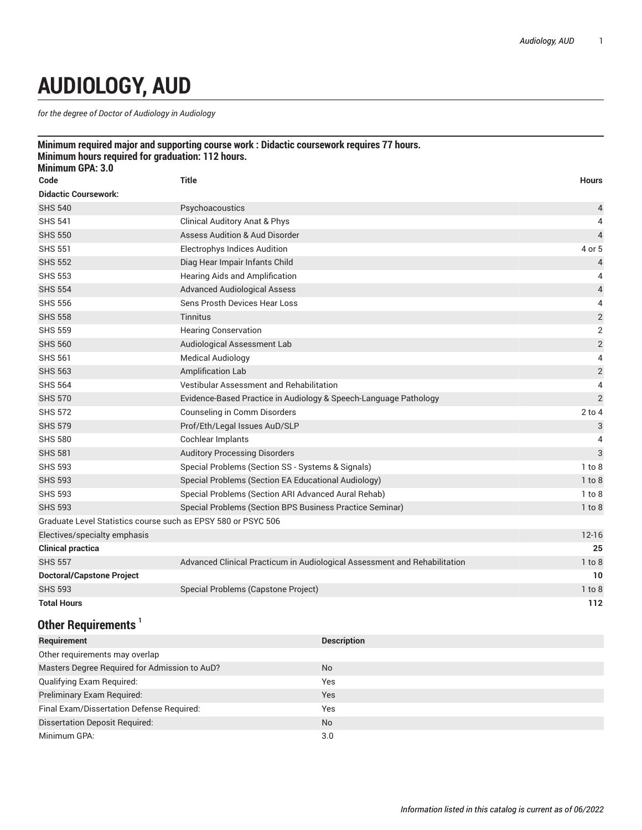## **AUDIOLOGY, AUD**

*for the degree of Doctor of Audiology in Audiology*

| Minimum hours required for graduation: 112 hours.<br>Minimum GPA: 3.0 | Minimum required major and supporting course work : Didactic coursework requires 77 hours. |                          |
|-----------------------------------------------------------------------|--------------------------------------------------------------------------------------------|--------------------------|
| Code                                                                  | <b>Title</b>                                                                               | <b>Hours</b>             |
| <b>Didactic Coursework:</b>                                           |                                                                                            |                          |
| <b>SHS 540</b>                                                        | Psychoacoustics                                                                            | 4                        |
| <b>SHS 541</b>                                                        | <b>Clinical Auditory Anat &amp; Phys</b>                                                   | 4                        |
| <b>SHS 550</b>                                                        | <b>Assess Audition &amp; Aud Disorder</b>                                                  | $\overline{4}$           |
| <b>SHS 551</b>                                                        | <b>Electrophys Indices Audition</b>                                                        | 4 or 5                   |
| <b>SHS 552</b>                                                        | Diag Hear Impair Infants Child                                                             | $\overline{4}$           |
| <b>SHS 553</b>                                                        | Hearing Aids and Amplification                                                             | 4                        |
| <b>SHS 554</b>                                                        | <b>Advanced Audiological Assess</b>                                                        | $\overline{\mathcal{L}}$ |
| <b>SHS 556</b>                                                        | Sens Prosth Devices Hear Loss                                                              | 4                        |
| <b>SHS 558</b>                                                        | <b>Tinnitus</b>                                                                            | $\sqrt{2}$               |
| <b>SHS 559</b>                                                        | <b>Hearing Conservation</b>                                                                | $\overline{2}$           |
| <b>SHS 560</b>                                                        | Audiological Assessment Lab                                                                | $\sqrt{2}$               |
| <b>SHS 561</b>                                                        | <b>Medical Audiology</b>                                                                   | 4                        |
| <b>SHS 563</b>                                                        | Amplification Lab                                                                          | $\sqrt{2}$               |
| <b>SHS 564</b>                                                        | Vestibular Assessment and Rehabilitation                                                   | 4                        |
| <b>SHS 570</b>                                                        | Evidence-Based Practice in Audiology & Speech-Language Pathology                           | $\overline{2}$           |
| <b>SHS 572</b>                                                        | Counseling in Comm Disorders                                                               | $2$ to $4$               |
| <b>SHS 579</b>                                                        | Prof/Eth/Legal Issues AuD/SLP                                                              | 3                        |
| <b>SHS 580</b>                                                        | Cochlear Implants                                                                          | 4                        |
| <b>SHS 581</b>                                                        | <b>Auditory Processing Disorders</b>                                                       | 3                        |
| <b>SHS 593</b>                                                        | Special Problems (Section SS - Systems & Signals)                                          | $1$ to $8$               |
| <b>SHS 593</b>                                                        | Special Problems (Section EA Educational Audiology)                                        | $1$ to $8$               |
| <b>SHS 593</b>                                                        | Special Problems (Section ARI Advanced Aural Rehab)                                        | $1$ to $8$               |
| <b>SHS 593</b>                                                        | Special Problems (Section BPS Business Practice Seminar)                                   | $1$ to $8$               |
| Graduate Level Statistics course such as EPSY 580 or PSYC 506         |                                                                                            |                          |
| Electives/specialty emphasis                                          |                                                                                            | $12 - 16$                |
| <b>Clinical practica</b>                                              |                                                                                            | 25                       |
| <b>SHS 557</b>                                                        | Advanced Clinical Practicum in Audiological Assessment and Rehabilitation                  | 1 to 8                   |
| <b>Doctoral/Capstone Project</b>                                      |                                                                                            | 10                       |
| <b>SHS 593</b>                                                        | Special Problems (Capstone Project)                                                        | $1$ to $8$               |
| <b>Total Hours</b>                                                    |                                                                                            | 112                      |
| $\mathsf{QAL}$ and $\mathsf{QAL}$                                     |                                                                                            |                          |

## **Other Requirements**

| Requirement                                   | <b>Description</b> |  |  |
|-----------------------------------------------|--------------------|--|--|
| Other requirements may overlap                |                    |  |  |
| Masters Degree Required for Admission to AuD? | <b>No</b>          |  |  |
| Qualifying Exam Required:                     | Yes                |  |  |
| Preliminary Exam Required:                    | <b>Yes</b>         |  |  |
| Final Exam/Dissertation Defense Required:     | Yes                |  |  |
| <b>Dissertation Deposit Required:</b>         | No.                |  |  |
| Minimum GPA:                                  | 3.0                |  |  |